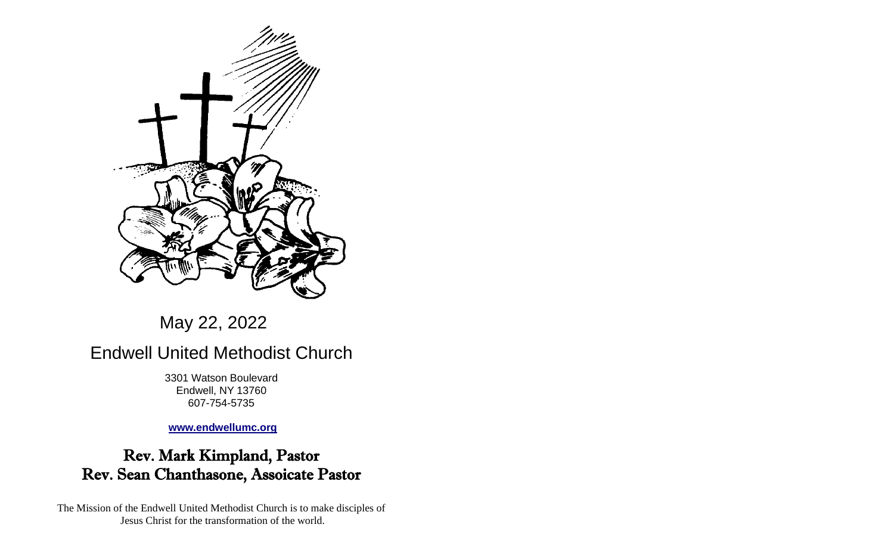

# May 22, 2022

# Endwell United Methodist Church

3301 Watson Boulevard Endwell, NY 13760 607-754-5735

**[www.endwellumc.org](http://www.endwellumc.org/)**

## Rev. Mark Kimpland, Pastor Rev. Sean Chanthasone, Assoicate Pastor

The Mission of the Endwell United Methodist Church is to make disciples of Jesus Christ for the transformation of the world.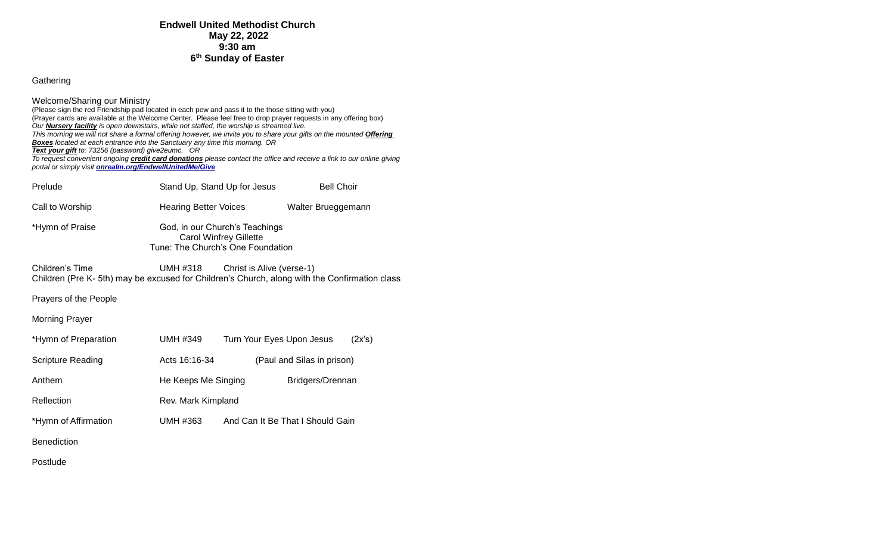#### Gathering

Welcome/Sharing our Ministry (Please sign the red Friendship pad located in each pew and pass it to the those sitting with you) (Prayer cards are available at the Welcome Center. Please feel free to drop prayer requests in any offering box) *Our Nursery facility is open downstairs, while not staffed, the worship is streamed live. This morning we will not share a formal offering however, we invite you to share your gifts on the mounted Offering Boxes located at each entrance into the Sanctuary any time this morning. OR Text your gift to: 73256 (password) give2eumc. OR To request convenient ongoing credit card donations please contact the office and receive a link to our online giving portal or simply visit [onrealm.org/EndwellUnitedMe/Give](https://onrealm.org/EndwellUnitedMe/Give)* Prelude **Stand Up, Stand Up for Jesus** Bell Choir Call to Worship Hearing Better Voices Walter Brueggemann \*Hymn of Praise God, in our Church's Teachings Carol Winfrey Gillette Tune: The Church's One Foundation Children's Time UMH #318 Christ is Alive (verse-1) Children (Pre K- 5th) may be excused for Children's Church, along with the Confirmation class Prayers of the People Morning Prayer \*Hymn of Preparation UMH #349 Turn Your Eyes Upon Jesus (2x's) Scripture Reading **Acts 16:16-34** (Paul and Silas in prison) Anthem **He Keeps Me Singing** Bridgers/Drennan

- Reflection Rev. Mark Kimpland \*Hymn of Affirmation UMH #363 And Can It Be That I Should Gain
- Benediction

Postlude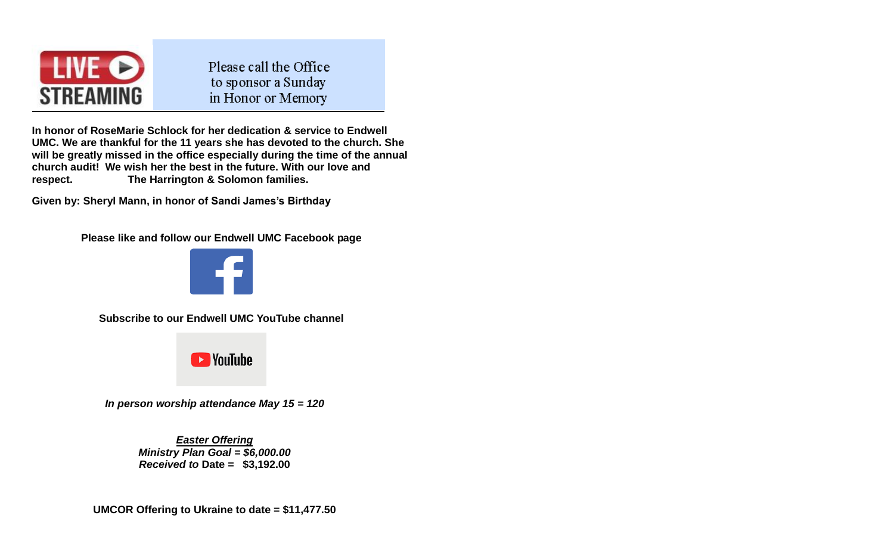

Please call the Office to sponsor a Sunday in Honor or Memory

**In honor of RoseMarie Schlock for her dedication & service to Endwell UMC. We are thankful for the 11 years she has devoted to the church. She will be greatly missed in the office especially during the time of the annual church audit! We wish her the best in the future. With our love and respect. The Harrington & Solomon families.**

**Given by: Sheryl Mann, in honor of Sandi James's Birthday**

**Please like and follow our Endwell UMC Facebook page**



**Subscribe to our Endwell UMC YouTube channel** 



*In person worship attendance May 15 = 120*

*Easter Offering Ministry Plan Goal = \$6,000.00 Received to* **Date = \$3,192.00**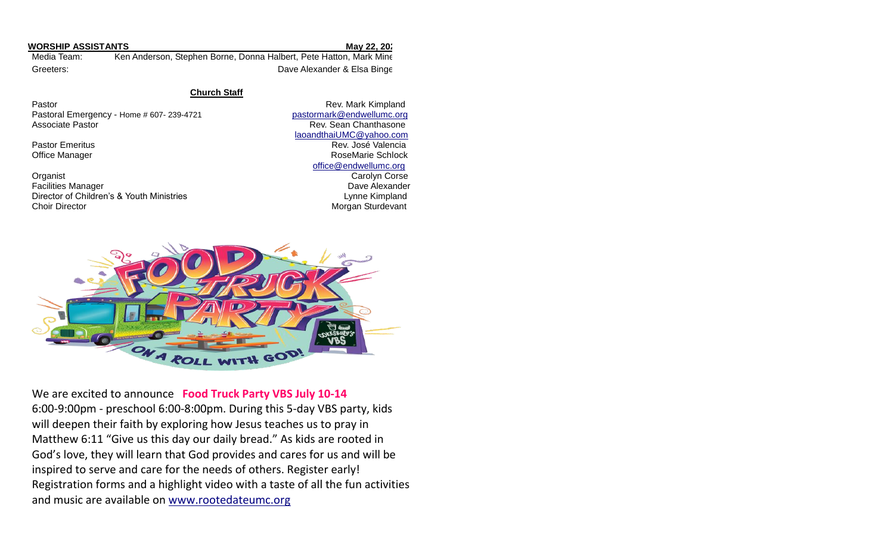| <b>WORSHIP ASSISTANTS</b> | May 22, 20;                                                        |  |
|---------------------------|--------------------------------------------------------------------|--|
| Media Team:               | Ken Anderson, Stephen Borne, Donna Halbert, Pete Hatton, Mark Mine |  |
| Greeters:                 | Dave Alexander & Elsa Binge                                        |  |

**Church Staff**

Pastoral Emergency - Home # 607- 239-4721 [pastormark@endwellumc.org](mailto:pastormark@endwellumc.org) Associate Pastor **Rev. Sean Chanthasone Rev. Sean Chanthasone** 

**Organist** Carolyn Corse Carolyn Corse Carolyn Corse Carolyn Corse Carolyn Corse Carolyn Corse Carolyn Corse Carolyn Corse Carolyn Corse Carolyn Corse Carolyn Corse Carolyn Corse Carolyn Corse Carolyn Corse Carolyn Corse C **Facilities Manager Community Community Community Community Community Community Community Community Community Community Community Community Community Community Community Community Community Community Community Community Co** Director of Children's & Youth Ministries **Lynne Kimpland**<br>Choir Director **Lynne Kimpland**<br>Morgan Sturdevant

Pastor **Pastor** Rev. Mark Kimpland [laoandthaiUMC@yahoo.com](mailto:laoandthaiUMC@yahoo.com) Pastor Emeritus **Rev. José Valencia** Rev. José Valencia Office Manager **RoseMarie Schlock RoseMarie Schlock RoseMarie Schlock**  [office@endwellumc.org](mailto:office@endwellumc.org) Morgan Sturdevant



We are excited to announce **Food Truck Party VBS July 10-14** 6:00-9:00pm - preschool 6:00-8:00pm. During this 5-day VBS party, kids will deepen their faith by exploring how Jesus teaches us to pray in Matthew 6:11 "Give us this day our daily bread." As kids are rooted in God's love, they will learn that God provides and cares for us and will be inspired to serve and care for the needs of others. Register early! Registration forms and a highlight video with a taste of all the fun activities and music are available on [www.rootedateumc.org](http://www.rootedateumc.org/)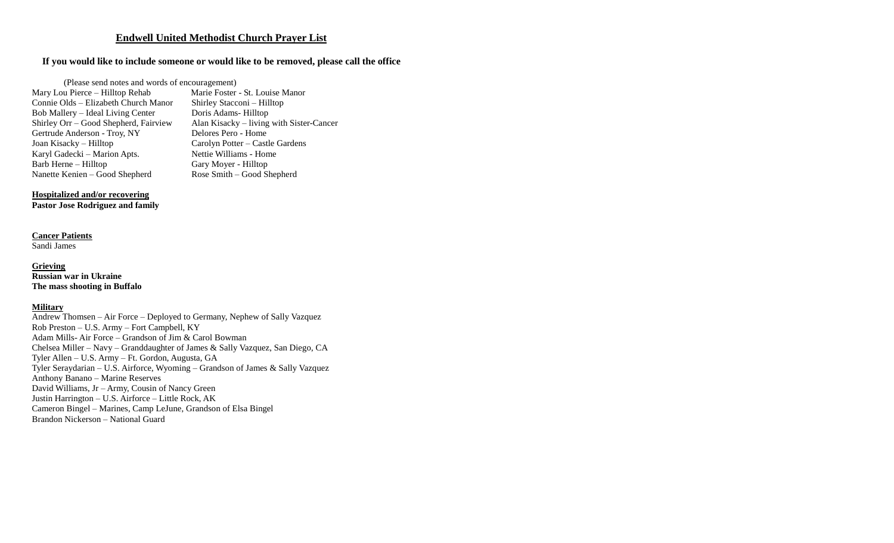#### **Endwell United Methodist Church Prayer List**

#### **If you would like to include someone or would like to be removed, please call the office**

(Please send notes and words of encouragement)

Mary Lou Pierce – Hilltop Rehab Marie Foster - St. Louise Manor<br>Connie Olds – Elizabeth Church Manor Shirley Stacconi – Hilltop Connie Olds – Elizabeth Church Manor Shirley Stacconi – Hil<br>Bob Mallery – Ideal Living Center Doris Adams-Hilltop Bob Mallery – Ideal Living Center<br>Shirley Orr – Good Shepherd, Fairview Gertrude Anderson - Troy, NY<br>Joan Kisacky – Hilltop Karyl Gadecki – Marion Apts. Nettie Williams - Home Barb Herne – Hilltop Gary Moyer - Hilltop Gary Moyer - Hilltop Nanette Kenien – Good Shepherd Rose Smith – Good Shepherd Nanette Kenien – Good Shepherd

Alan Kisacky – living with Sister-Cancer<br>Delores Pero - Home Carolyn Potter – Castle Gardens

#### **Hospitalized and/or recovering**

**Pastor Jose Rodriguez and family**

### **Cancer Patients**

Sandi James

#### **Grieving**

**Russian war in Ukraine The mass shooting in Buffalo**

#### **Military**

Andrew Thomsen – Air Force – Deployed to Germany, Nephew of Sally Vazquez Rob Preston – U.S. Army – Fort Campbell, KY Adam Mills- Air Force – Grandson of Jim & Carol Bowman Chelsea Miller – Navy – Granddaughter of James & Sally Vazquez, San Diego, CA Tyler Allen – U.S. Army – Ft. Gordon, Augusta, GA Tyler Seraydarian – U.S. Airforce, Wyoming – Grandson of James & Sally Vazquez Anthony Banano – Marine Reserves David Williams, Jr – Army, Cousin of Nancy Green Justin Harrington – U.S. Airforce – Little Rock, AK Cameron Bingel – Marines, Camp LeJune, Grandson of Elsa Bingel Brandon Nickerson – National Guard